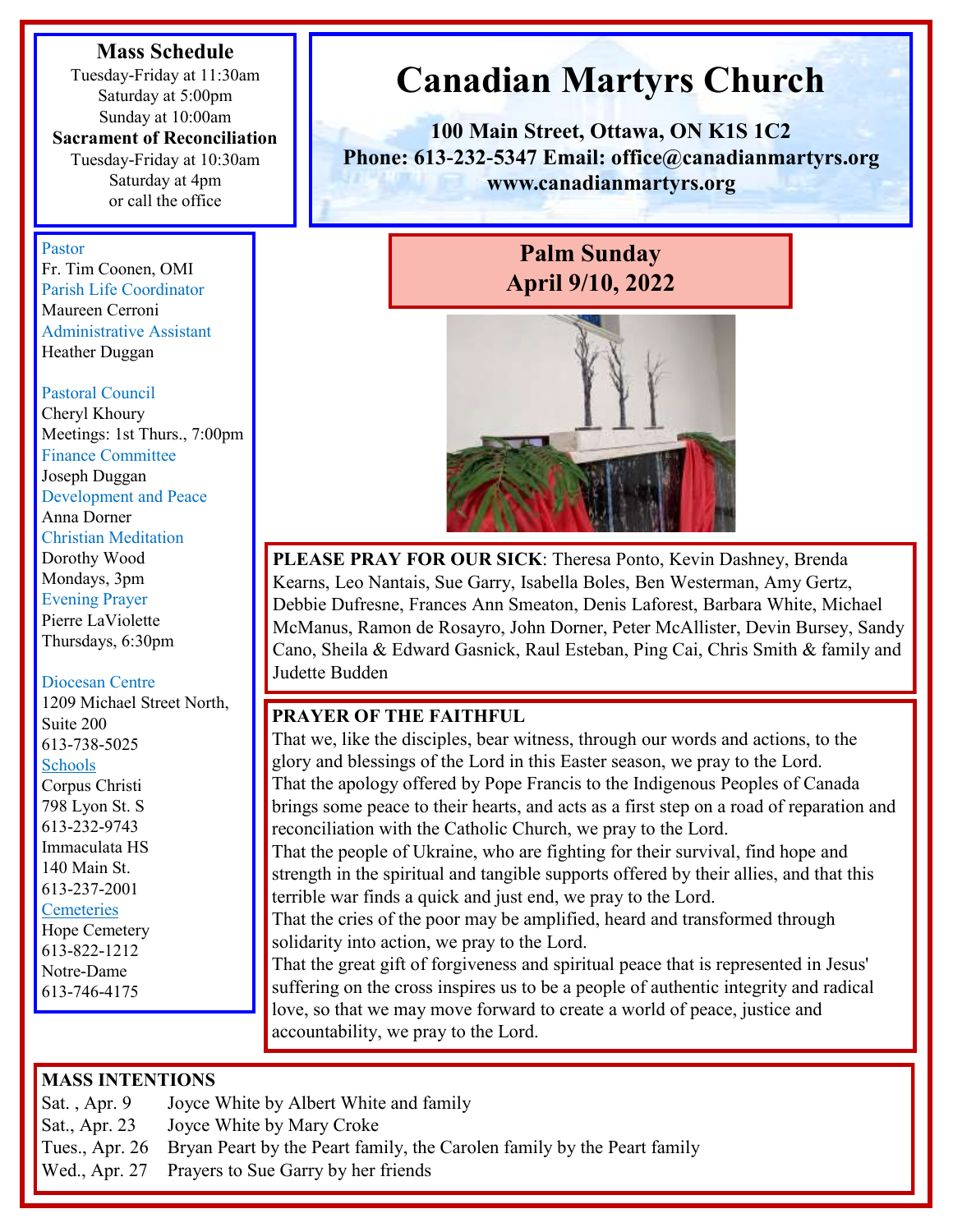#### **Mass Schedule**

Tuesday-Friday at 11:30am Saturday at 5:00pm Sunday at 10:00am

#### **Sacrament of Reconciliation**

Tuesday-Friday at 10:30am Saturday at 4pm or call the office

#### Pastor

Fr. Tim Coonen, OMI Parish Life Coordinator Maureen Cerroni Administrative Assistant Heather Duggan

#### Pastoral Council

Cheryl Khoury Meetings: 1st Thurs., 7:00pm Finance Committee Joseph Duggan Development and Peace Anna Dorner Christian Meditation Dorothy Wood Mondays, 3pm Evening Prayer Pierre LaViolette Thursdays, 6:30pm

#### Diocesan Centre

1209 Michael Street North, Suite 200 613-738-5025 Schools Corpus Christi 798 Lyon St. S 613-232-9743 Immaculata HS 140 Main St. 613-237-2001 **Cemeteries** 

Hope Cemetery 613-822-1212 Notre-Dame 613-746-4175

# **Canadian Martyrs Church**

**100 Main Street, Ottawa, ON K1S 1C2 Phone: 613-232-5347 Email: office@canadianmartyrs.org www.canadianmartyrs.org**

## **Palm Sunday April 9/10, 2022**



**PLEASE PRAY FOR OUR SICK**: Theresa Ponto, Kevin Dashney, Brenda Kearns, Leo Nantais, Sue Garry, Isabella Boles, Ben Westerman, Amy Gertz, Debbie Dufresne, Frances Ann Smeaton, Denis Laforest, Barbara White, Michael McManus, Ramon de Rosayro, John Dorner, Peter McAllister, Devin Bursey, Sandy Cano, Sheila & Edward Gasnick, Raul Esteban, Ping Cai, Chris Smith & family and Judette Budden

#### **PRAYER OF THE FAITHFUL**

That we, like the disciples, bear witness, through our words and actions, to the glory and blessings of the Lord in this Easter season, we pray to the Lord. That the apology offered by Pope Francis to the Indigenous Peoples of Canada brings some peace to their hearts, and acts as a first step on a road of reparation and reconciliation with the Catholic Church, we pray to the Lord.

That the people of Ukraine, who are fighting for their survival, find hope and strength in the spiritual and tangible supports offered by their allies, and that this terrible war finds a quick and just end, we pray to the Lord.

That the cries of the poor may be amplified, heard and transformed through solidarity into action, we pray to the Lord.

That the great gift of forgiveness and spiritual peace that is represented in Jesus' suffering on the cross inspires us to be a people of authentic integrity and radical love, so that we may move forward to create a world of peace, justice and accountability, we pray to the Lord.

#### **MASS INTENTIONS**

Sat. , Apr. 9 Joyce White by Albert White and family

- Sat., Apr. 23 Joyce White by Mary Croke
- Tues., Apr. 26 Bryan Peart by the Peart family, the Carolen family by the Peart family
- Wed., Apr. 27 Prayers to Sue Garry by her friends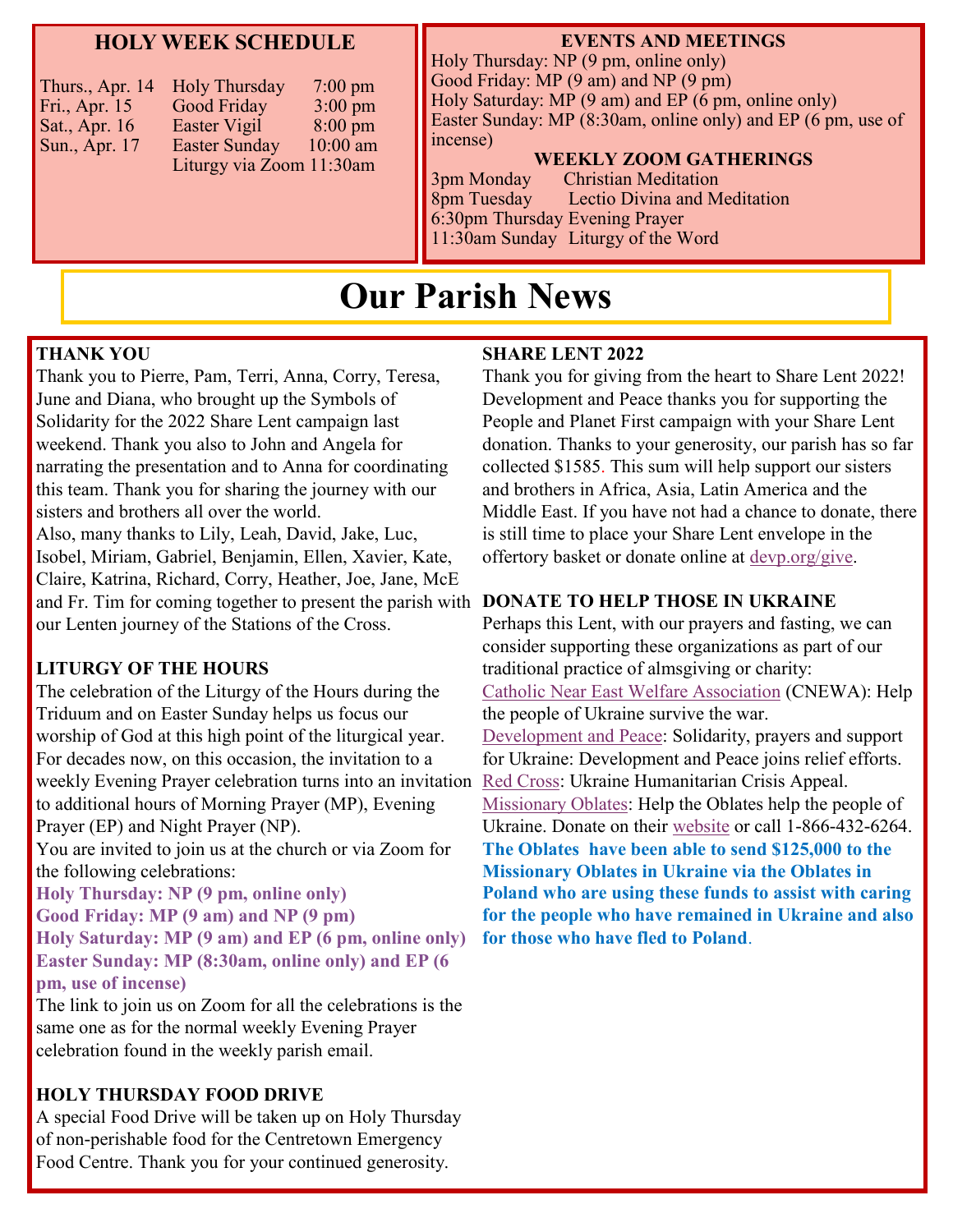#### **HOLY WEEK SCHEDULE**

| <b>Holy Thursday</b><br>Thurs., Apr. 14<br>Good Friday<br>Fri., Apr. 15<br>Easter Vigil<br>Sat., Apr. 16<br><b>Easter Sunday</b><br>Sun., Apr. 17<br>Liturgy via Zoom 11:30am | $7:00 \text{ pm}$<br>$3:00 \text{ pm}$<br>$8:00 \text{ pm}$<br>$10:00$ am |
|-------------------------------------------------------------------------------------------------------------------------------------------------------------------------------|---------------------------------------------------------------------------|
|                                                                                                                                                                               |                                                                           |

#### **EVENTS AND MEETINGS**

Holy Thursday: NP (9 pm, online only) Good Friday: MP (9 am) and NP (9 pm) Holy Saturday: MP (9 am) and EP (6 pm, online only) Easter Sunday: MP (8:30am, online only) and EP (6 pm, use of incense)

#### **WEEKLY ZOOM GATHERINGS**

3pm Monday Christian Meditation 8pm Tuesday Lectio Divina and Meditation 6:30pm Thursday Evening Prayer 11:30am Sunday Liturgy of the Word

## **Our Parish News**

#### **THANK YOU**

Thank you to Pierre, Pam, Terri, Anna, Corry, Teresa, June and Diana, who brought up the Symbols of Solidarity for the 2022 Share Lent campaign last weekend. Thank you also to John and Angela for narrating the presentation and to Anna for coordinating this team. Thank you for sharing the journey with our sisters and brothers all over the world. Also, many thanks to Lily, Leah, David, Jake, Luc, Isobel, Miriam, Gabriel, Benjamin, Ellen, Xavier, Kate, Claire, Katrina, Richard, Corry, Heather, Joe, Jane, McE and Fr. Tim for coming together to present the parish with **DONATE TO HELP THOSE IN UKRAINE** our Lenten journey of the Stations of the Cross.

#### **LITURGY OF THE HOURS**

The celebration of the Liturgy of the Hours during the Triduum and on Easter Sunday helps us focus our worship of God at this high point of the liturgical year. For decades now, on this occasion, the invitation to a weekly Evening Prayer celebration turns into an invitation to additional hours of Morning Prayer (MP), Evening Prayer (EP) and Night Prayer (NP).

You are invited to join us at the church or via Zoom for the following celebrations:

**Holy Thursday: NP (9 pm, online only) Good Friday: MP (9 am) and NP (9 pm) Holy Saturday: MP (9 am) and EP (6 pm, online only) Easter Sunday: MP (8:30am, online only) and EP (6 pm, use of incense)**

The link to join us on Zoom for all the celebrations is the same one as for the normal weekly Evening Prayer celebration found in the weekly parish email.

#### **HOLY THURSDAY FOOD DRIVE**

A special Food Drive will be taken up on Holy Thursday of non-perishable food for the Centretown Emergency Food Centre. Thank you for your continued generosity.

#### **SHARE LENT 2022**

Thank you for giving from the heart to Share Lent 2022! Development and Peace thanks you for supporting the People and Planet First campaign with your Share Lent donation. Thanks to your generosity, our parish has so far collected \$1585. This sum will help support our sisters and brothers in Africa, Asia, Latin America and the Middle East. If you have not had a chance to donate, there is still time to place your Share Lent envelope in the offertory basket or donate online at [devp.org/give.](https://www2.devp.org/en/civicrm/contribute/transact?reset=1&id=3&gl=2y0x0)

Perhaps this Lent, with our prayers and fasting, we can consider supporting these organizations as part of our traditional practice of almsgiving or charity: [Catholic Near East Welfare Association](https://cnewa.org/ca/campaigns/ukraine/) (CNEWA): Help the people of Ukraine survive the war. [Development and Peace:](https://www2.devp.org/en/civicrm/contribute/transact?reset=1&id=3&gl=24360) Solidarity, prayers and support for Ukraine: Development and Peace joins relief efforts. [Red Cross:](https://www.redcross.ca/about-us/media-news/news-releases/red-cross-launches-ukraine-humanitarian-crisis-appeal) Ukraine Humanitarian Crisis Appeal. [Missionary Oblates:](http://www.omilacombe.ca/mami/donations) Help the Oblates help the people of Ukraine. Donate on their [website](http://www.omilacombe.ca/mami/donations) or call 1-866-432-6264. **The Oblates have been able to send \$125,000 to the Missionary Oblates in Ukraine via the Oblates in Poland who are using these funds to assist with caring for the people who have remained in Ukraine and also for those who have fled to Poland**.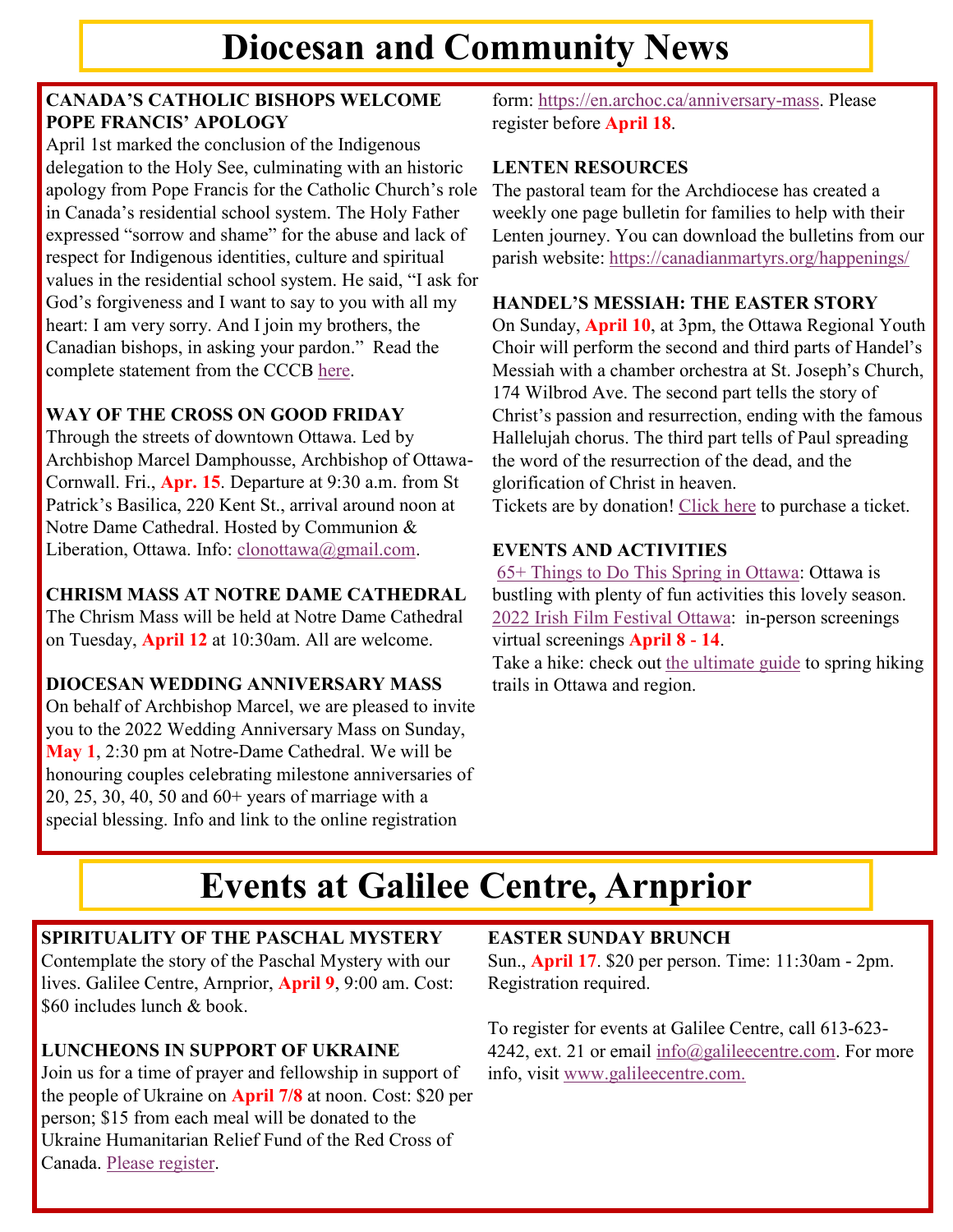#### **CANADA'S CATHOLIC BISHOPS WELCOME POPE FRANCIS' APOLOGY**

April 1st marked the conclusion of the Indigenous delegation to the Holy See, culminating with an historic apology from Pope Francis for the Catholic Church's role in Canada's residential school system. The Holy Father expressed "sorrow and shame" for the abuse and lack of respect for Indigenous identities, culture and spiritual values in the residential school system. He said, "I ask for God's forgiveness and I want to say to you with all my heart: I am very sorry. And I join my brothers, the Canadian bishops, in asking your pardon." Read the complete statement from the CCCB [here.](https://www.cccb.ca/media-release/canadas-catholic-bishops-welcome-pope-francis-apology-to-indigenous-peoples/)

### **WAY OF THE CROSS ON GOOD FRIDAY**

Through the streets of downtown Ottawa. Led by Archbishop Marcel Damphousse, Archbishop of Ottawa-Cornwall. Fri., **Apr. 15**. Departure at 9:30 a.m. from St Patrick's Basilica, 220 Kent St., arrival around noon at Notre Dame Cathedral. Hosted by Communion & Liberation, Ottawa. Info: [clonottawa@gmail.com.](mailto:clonottawa@gmail.com)

#### **CHRISM MASS AT NOTRE DAME CATHEDRAL**

The Chrism Mass will be held at Notre Dame Cathedral on Tuesday, **April 12** at 10:30am. All are welcome.

#### **DIOCESAN WEDDING ANNIVERSARY MASS**

On behalf of Archbishop Marcel, we are pleased to invite you to the 2022 Wedding Anniversary Mass on Sunday, **May 1**, 2:30 pm at Notre-Dame Cathedral. We will be honouring couples celebrating milestone anniversaries of 20, 25, 30, 40, 50 and 60+ years of marriage with a special blessing. Info and link to the online registration

form: [https://en.archoc.ca/anniversary-mass.](https://en.archoc.ca/anniversary-mass) Please register before **April 18**.

#### **LENTEN RESOURCES**

The pastoral team for the Archdiocese has created a weekly one page bulletin for families to help with their Lenten journey. You can download the bulletins from our parish website: <https://canadianmartyrs.org/happenings/>

#### **HANDEL'S MESSIAH: THE EASTER STORY**

On Sunday, **April 10**, at 3pm, the Ottawa Regional Youth Choir will perform the second and third parts of Handel's Messiah with a chamber orchestra at St. Joseph's Church, 174 Wilbrod Ave. The second part tells the story of Christ's passion and resurrection, ending with the famous Hallelujah chorus. The third part tells of Paul spreading the word of the resurrection of the dead, and the glorification of Christ in heaven.

Tickets are by donation! [Click here](https://app.simplyk.io/ticketing/b5da8820-e825-4a00-a061-2ca361e1070d) to purchase a ticket.

#### **EVENTS AND ACTIVITIES**

[65+ Things to Do This Spring in Ottawa:](https://www.todocanada.ca/50-things-to-do-this-spring-in-ottawa-2022/) Ottawa is bustling with plenty of fun activities this lovely season. [2022 Irish Film Festival Ottawa:](https://www.irishfilmfestivalottawa.ca/2022-festival) in-person screenings virtual screenings **April 8 - 14**.

Take a hike: check out [the ultimate guide](https://www.girlgonegood.com/spring-hiking-ottawa-region/) to spring hiking trails in Ottawa and region.

# **Events at Galilee Centre, Arnprior**

### **SPIRITUALITY OF THE PASCHAL MYSTERY**

Contemplate the story of the Paschal Mystery with our lives. Galilee Centre, Arnprior, **April 9**, 9:00 am. Cost: \$60 includes lunch & book.

#### **LUNCHEONS IN SUPPORT OF UKRAINE**

Join us for a time of prayer and fellowship in support of the people of Ukraine on **April 7/8** at noon. Cost: \$20 per person; \$15 from each meal will be donated to the Ukraine Humanitarian Relief Fund of the Red Cross of Canada. [Please register.](https://www.galileecentre.com/luncheons-in-support-of-ukraine-april-7-8-noon/)

#### **EASTER SUNDAY BRUNCH**

Sun., **April 17**. \$20 per person. Time: 11:30am - 2pm. Registration required.

To register for events at Galilee Centre, call 613-623 4242, ext. 21 or email [info@galileecentre.com.](mailto:info@galileecentre.com) For more info, visit [www.galileecentre.com.](https://www.galileecentre.com/)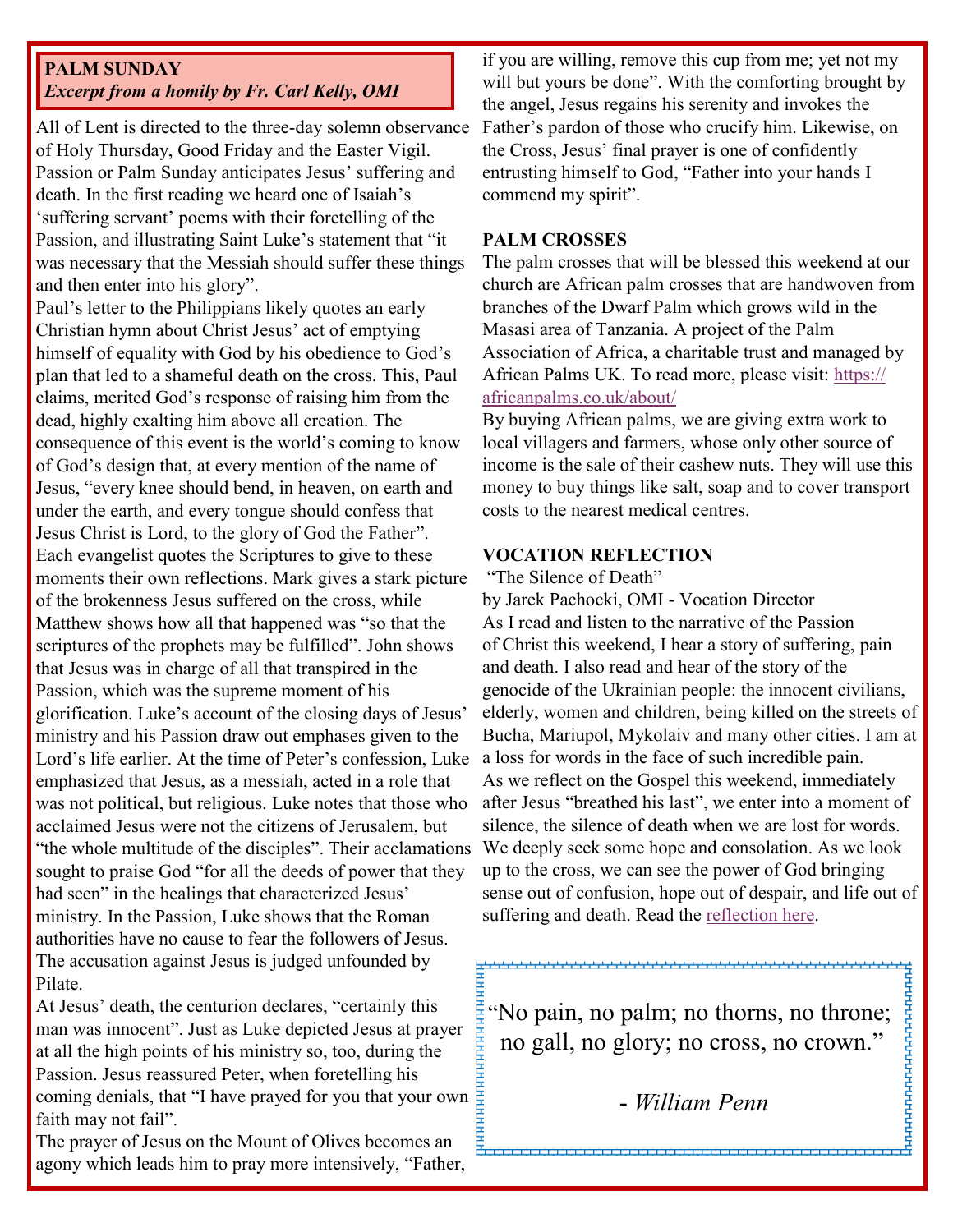#### **PALM SUNDAY** *Excerpt from a homily by Fr. Carl Kelly, OMI*

All of Lent is directed to the three-day solemn observance of Holy Thursday, Good Friday and the Easter Vigil. Passion or Palm Sunday anticipates Jesus' suffering and death. In the first reading we heard one of Isaiah's 'suffering servant' poems with their foretelling of the Passion, and illustrating Saint Luke's statement that "it was necessary that the Messiah should suffer these things and then enter into his glory".

Paul's letter to the Philippians likely quotes an early Christian hymn about Christ Jesus' act of emptying himself of equality with God by his obedience to God's plan that led to a shameful death on the cross. This, Paul claims, merited God's response of raising him from the dead, highly exalting him above all creation. The consequence of this event is the world's coming to know of God's design that, at every mention of the name of Jesus, "every knee should bend, in heaven, on earth and under the earth, and every tongue should confess that Jesus Christ is Lord, to the glory of God the Father". Each evangelist quotes the Scriptures to give to these moments their own reflections. Mark gives a stark picture of the brokenness Jesus suffered on the cross, while Matthew shows how all that happened was "so that the scriptures of the prophets may be fulfilled". John shows that Jesus was in charge of all that transpired in the Passion, which was the supreme moment of his glorification. Luke's account of the closing days of Jesus' ministry and his Passion draw out emphases given to the Lord's life earlier. At the time of Peter's confession, Luke emphasized that Jesus, as a messiah, acted in a role that was not political, but religious. Luke notes that those who acclaimed Jesus were not the citizens of Jerusalem, but "the whole multitude of the disciples". Their acclamations sought to praise God "for all the deeds of power that they had seen" in the healings that characterized Jesus' ministry. In the Passion, Luke shows that the Roman authorities have no cause to fear the followers of Jesus. The accusation against Jesus is judged unfounded by Pilate.

At Jesus' death, the centurion declares, "certainly this man was innocent". Just as Luke depicted Jesus at prayer at all the high points of his ministry so, too, during the Passion. Jesus reassured Peter, when foretelling his coming denials, that "I have prayed for you that your own faith may not fail".

The prayer of Jesus on the Mount of Olives becomes an agony which leads him to pray more intensively, "Father,

if you are willing, remove this cup from me; yet not my will but yours be done". With the comforting brought by the angel, Jesus regains his serenity and invokes the Father's pardon of those who crucify him. Likewise, on the Cross, Jesus' final prayer is one of confidently entrusting himself to God, "Father into your hands I commend my spirit".

#### **PALM CROSSES**

The palm crosses that will be blessed this weekend at our church are African palm crosses that are handwoven from branches of the Dwarf Palm which grows wild in the Masasi area of Tanzania. A project of the Palm Association of Africa, a charitable trust and managed by African Palms UK. To read more, please visit: [https://](https://africanpalms.co.uk/about/) [africanpalms.co.uk/about/](https://africanpalms.co.uk/about/)

By buying African palms, we are giving extra work to local villagers and farmers, whose only other source of income is the sale of their cashew nuts. They will use this money to buy things like salt, soap and to cover transport costs to the nearest medical centres.

#### **VOCATION REFLECTION**

"The Silence of Death"

by Jarek Pachocki, OMI - Vocation Director As I read and listen to the narrative of the Passion of Christ this weekend, I hear a story of suffering, pain and death. I also read and hear of the story of the genocide of the Ukrainian people: the innocent civilians, elderly, women and children, being killed on the streets of Bucha, Mariupol, Mykolaiv and many other cities. I am at a loss for words in the face of such incredible pain. As we reflect on the Gospel this weekend, immediately after Jesus "breathed his last", we enter into a moment of silence, the silence of death when we are lost for words. We deeply seek some hope and consolation. As we look up to the cross, we can see the power of God bringing sense out of confusion, hope out of despair, and life out of suffering and death. Read the [reflection here.](https://omilacombe.ca/become-an-oblate/)

"No pain, no palm; no thorns, no throne; no gall, no glory; no cross, no crown."

**FUTURITUTUTUTUTUT** 

## *- William Penn*